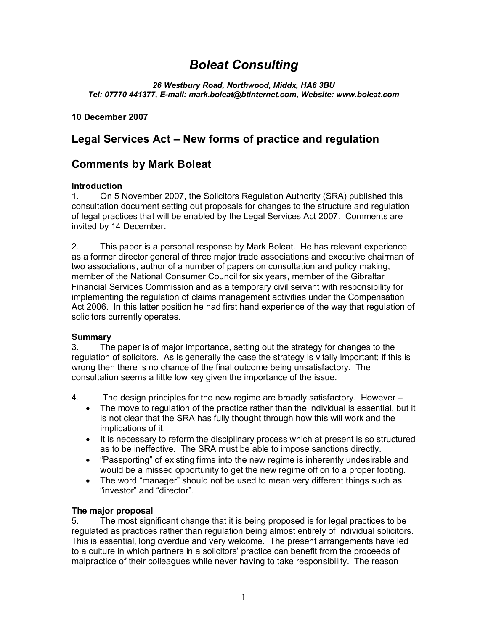# *Boleat Consulting*

*26 Westbury Road, Northwood, Middx, HA6 3BU Tel: 07770 441377, E-mail: mark.boleat@btinternet.com, Website: www.boleat.com*

**10 December 2007**

## **Legal Services Act – New forms of practice and regulation**

### **Comments by Mark Boleat**

#### **Introduction**

1. On 5 November 2007, the Solicitors Regulation Authority (SRA) published this consultation document setting out proposals for changes to the structure and regulation of legal practices that will be enabled by the Legal Services Act 2007. Comments are invited by 14 December.

2. This paper is a personal response by Mark Boleat. He has relevant experience as a former director general of three major trade associations and executive chairman of two associations, author of a number of papers on consultation and policy making, member of the National Consumer Council for six years, member of the Gibraltar Financial Services Commission and as a temporary civil servant with responsibility for implementing the regulation of claims management activities under the Compensation Act 2006. In this latter position he had first hand experience of the way that regulation of solicitors currently operates.

#### **Summary**

3. The paper is of major importance, setting out the strategy for changes to the regulation of solicitors. As is generally the case the strategy is vitally important; if this is wrong then there is no chance of the final outcome being unsatisfactory. The consultation seems a little low key given the importance of the issue.

- 4. The design principles for the new regime are broadly satisfactory. However
	- · The move to regulation of the practice rather than the individual is essential, but it is not clear that the SRA has fully thought through how this will work and the implications of it.
	- · It is necessary to reform the disciplinary process which at present is so structured as to be ineffective. The SRA must be able to impose sanctions directly.
	- · "Passporting" of existing firms into the new regime is inherently undesirable and would be a missed opportunity to get the new regime off on to a proper footing.
	- · The word "manager" should not be used to mean very different things such as "investor" and "director".

### **The major proposal**

5. The most significant change that it is being proposed is for legal practices to be regulated as practices rather than regulation being almost entirely of individual solicitors. This is essential, long overdue and very welcome. The present arrangements have led to a culture in which partners in a solicitors' practice can benefit from the proceeds of malpractice of their colleagues while never having to take responsibility. The reason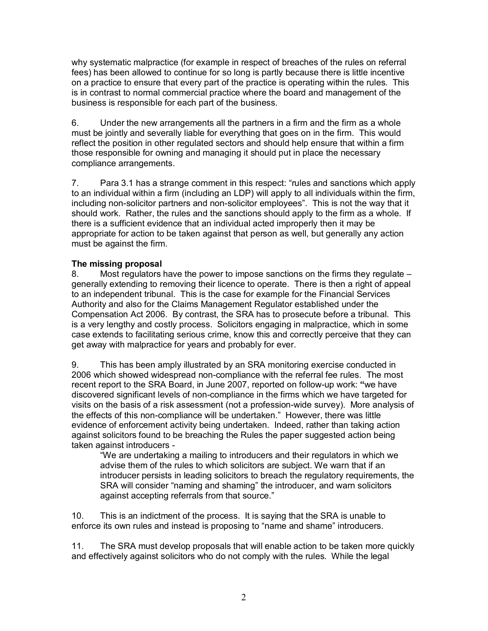why systematic malpractice (for example in respect of breaches of the rules on referral fees) has been allowed to continue for so long is partly because there is little incentive on a practice to ensure that every part of the practice is operating within the rules. This is in contrast to normal commercial practice where the board and management of the business is responsible for each part of the business.

6. Under the new arrangements all the partners in a firm and the firm as a whole must be jointly and severally liable for everything that goes on in the firm. This would reflect the position in other regulated sectors and should help ensure that within a firm those responsible for owning and managing it should put in place the necessary compliance arrangements.

7. Para 3.1 has a strange comment in this respect: "rules and sanctions which apply to an individual within a firm (including an LDP) will apply to all individuals within the firm, including non-solicitor partners and non-solicitor employees". This is not the way that it should work. Rather, the rules and the sanctions should apply to the firm as a whole. If there is a sufficient evidence that an individual acted improperly then it may be appropriate for action to be taken against that person as well, but generally any action must be against the firm.

#### **The missing proposal**

8. Most regulators have the power to impose sanctions on the firms they regulate – generally extending to removing their licence to operate. There is then a right of appeal to an independent tribunal. This is the case for example for the Financial Services Authority and also for the Claims Management Regulator established under the Compensation Act 2006. By contrast, the SRA has to prosecute before a tribunal. This is a very lengthy and costly process. Solicitors engaging in malpractice, which in some case extends to facilitating serious crime, know this and correctly perceive that they can get away with malpractice for years and probably for ever.

9. This has been amply illustrated by an SRA monitoring exercise conducted in 2006 which showed widespread non-compliance with the referral fee rules. The most recent report to the SRA Board, in June 2007, reported on follow-up work: **"**we have discovered significant levels of non-compliance in the firms which we have targeted for visits on the basis of a risk assessment (not a profession-wide survey). More analysis of the effects of this non-compliance will be undertaken." However, there was little evidence of enforcement activity being undertaken. Indeed, rather than taking action against solicitors found to be breaching the Rules the paper suggested action being taken against introducers -

"We are undertaking a mailing to introducers and their regulators in which we advise them of the rules to which solicitors are subject. We warn that if an introducer persists in leading solicitors to breach the regulatory requirements, the SRA will consider "naming and shaming" the introducer, and warn solicitors against accepting referrals from that source."

10. This is an indictment of the process. It is saying that the SRA is unable to enforce its own rules and instead is proposing to "name and shame" introducers.

11. The SRA must develop proposals that will enable action to be taken more quickly and effectively against solicitors who do not comply with the rules. While the legal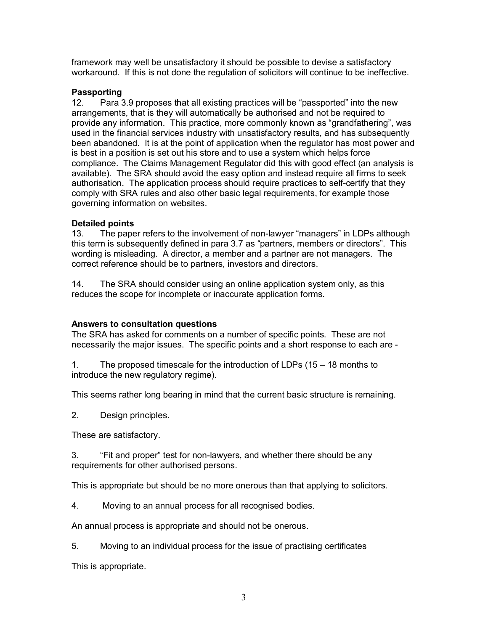framework may well be unsatisfactory it should be possible to devise a satisfactory workaround. If this is not done the regulation of solicitors will continue to be ineffective.

#### **Passporting**

12. Para 3.9 proposes that all existing practices will be "passported" into the new arrangements, that is they will automatically be authorised and not be required to provide any information. This practice, more commonly known as "grandfathering", was used in the financial services industry with unsatisfactory results, and has subsequently been abandoned. It is at the point of application when the regulator has most power and is best in a position is set out his store and to use a system which helps force compliance. The Claims Management Regulator did this with good effect (an analysis is available). The SRA should avoid the easy option and instead require all firms to seek authorisation. The application process should require practices to self-certify that they comply with SRA rules and also other basic legal requirements, for example those governing information on websites.

#### **Detailed points**

13. The paper refers to the involvement of non-lawyer "managers" in LDPs although this term is subsequently defined in para 3.7 as "partners, members or directors". This wording is misleading. A director, a member and a partner are not managers. The correct reference should be to partners, investors and directors.

14. The SRA should consider using an online application system only, as this reduces the scope for incomplete or inaccurate application forms.

### **Answers to consultation questions**

The SRA has asked for comments on a number of specific points. These are not necessarily the major issues. The specific points and a short response to each are -

1. The proposed timescale for the introduction of LDPs (15 – 18 months to introduce the new regulatory regime).

This seems rather long bearing in mind that the current basic structure is remaining.

2. Design principles.

These are satisfactory.

3. "Fit and proper" test for non-lawyers, and whether there should be any requirements for other authorised persons.

This is appropriate but should be no more onerous than that applying to solicitors.

4. Moving to an annual process for all recognised bodies.

An annual process is appropriate and should not be onerous.

5. Moving to an individual process for the issue of practising certificates

This is appropriate.